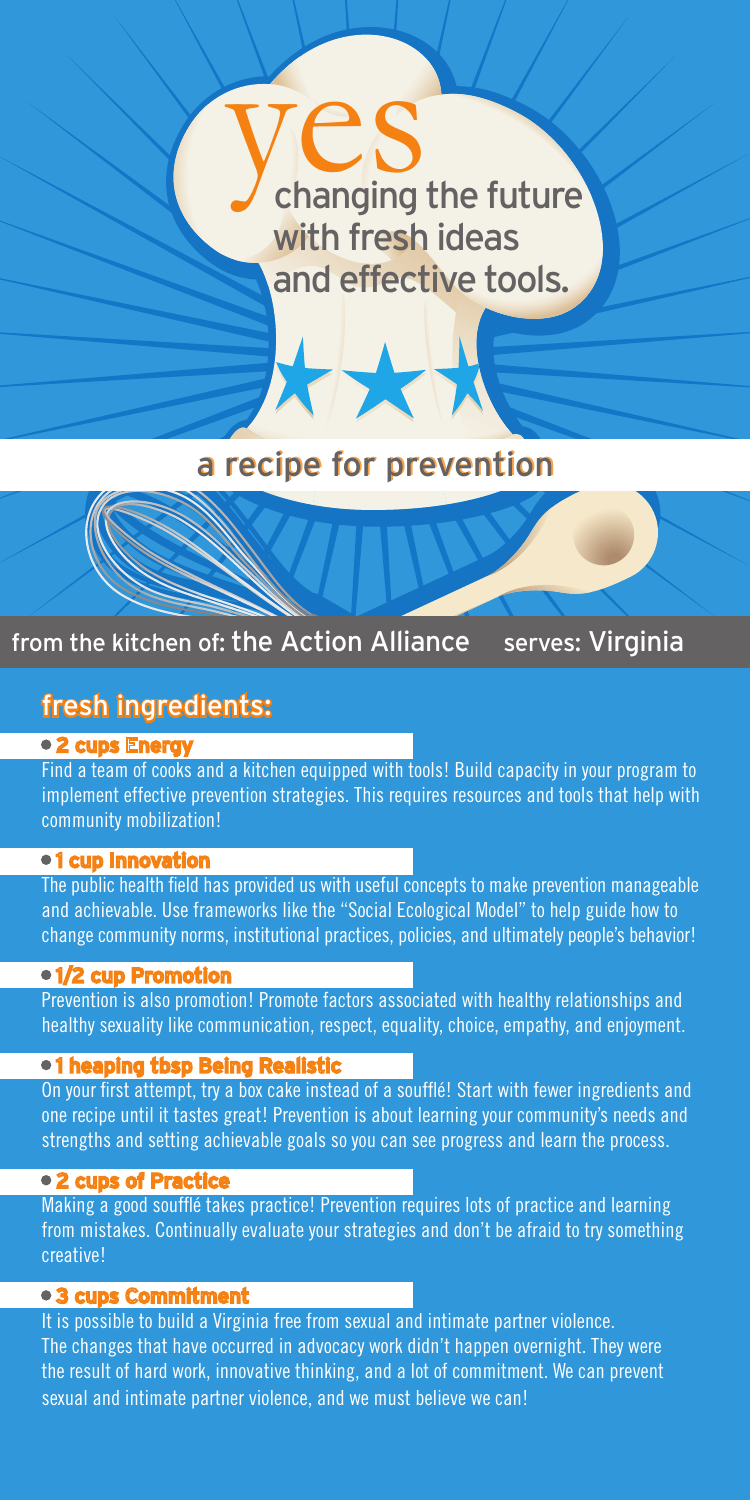# $\n **yes** 25$ <br>changing the future with fresh ideas and effective tools.

## a recipe for prevention

TXX

## from the kitchen of: the Action Alliance serves: Virginia

## fresh ingredients:

#### • 2 cups Eneray

Find a team of cooks and a kitchen equipped with tools! Build capacity in your program to implement effective prevention strategies. This requires resources and tools that help with community mobilization!

#### •1 cup Innovation

The public health field has provided us with useful concepts to make prevention manageable and achievable. Use frameworks like the "Social Ecological Model" to help guide how to change community norms, institutional practices, policies, and ultimately people's behavior!

#### • 1/2 cup Promotion

Prevention is also promotion! Promote factors associated with healthy relationships and healthy sexuality like communication, respect, equality, choice, empathy, and enjoyment.

#### • 1 heaping tbsp Being Realistic

On your first attempt, try a box cake instead of a soufflé! Start with fewer ingredients and one recipe until it tastes great! Prevention is about learning your community's needs and strengths and setting achievable goals so you can see progress and learn the process.

#### • 2 cups of Practice

Making a good soufflé takes practice! Prevention requires lots of practice and learning from mistakes. Continually evaluate your strategies and don't be afraid to try something creative!

#### • 3 cups Commitment

It is possible to build a Virginia free from sexual and intimate partner violence. The changes that have occurred in advocacy work didn't happen overnight. They were the result of hard work, innovative thinking, and a lot of commitment. We can prevent sexual and intimate partner violence, and we must believe we can!